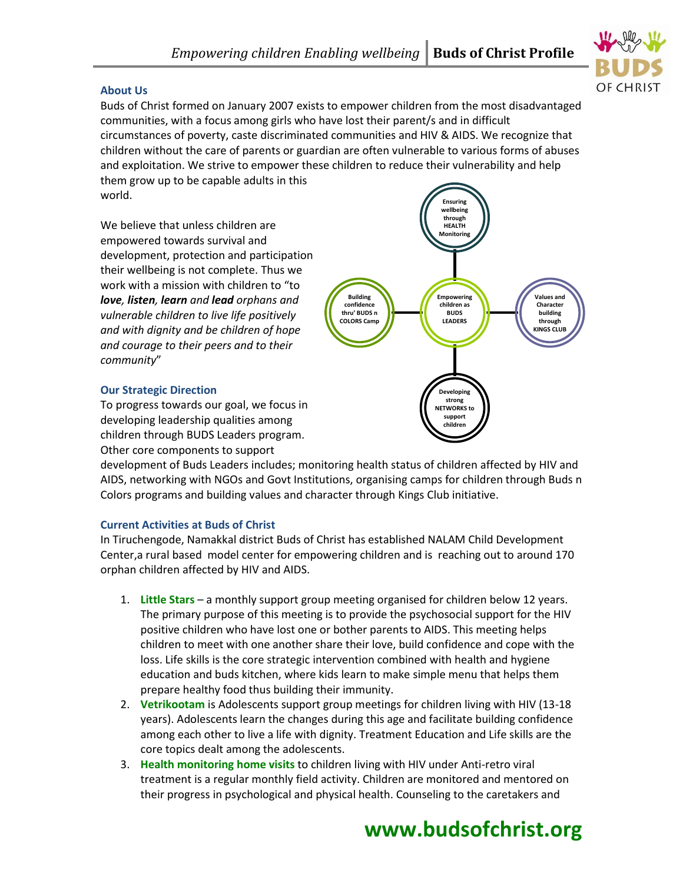

### **About Us**

Buds of Christ formed on January 2007 exists to empower children from the most disadvantaged communities, with a focus among girls who have lost their parent/s and in difficult circumstances of poverty, caste discriminated communities and HIV & AIDS. We recognize that children without the care of parents or guardian are often vulnerable to various forms of abuses and exploitation. We strive to empower these children to reduce their vulnerability and help them grow up to be capable adults in this world.

We believe that unless children are empowered towards survival and development, protection and participation their wellbeing is not complete. Thus we work with a mission with children to "to *love, listen, learn and lead orphans and vulnerable children to live life positively and with dignity and be children of hope and courage to their peers and to their community*"



#### **Our Strategic Direction**

To progress towards our goal, we focus in developing leadership qualities among children through BUDS Leaders program. Other core components to support

development of Buds Leaders includes; monitoring health status of children affected by HIV and AIDS, networking with NGOs and Govt Institutions, organising camps for children through Buds n Colors programs and building values and character through Kings Club initiative.

#### **Current Activities at Buds of Christ**

In Tiruchengode, Namakkal district Buds of Christ has established NALAM Child Development Center,a rural based model center for empowering children and is reaching out to around 170 orphan children affected by HIV and AIDS.

- 1. **Little Stars** a monthly support group meeting organised for children below 12 years. The primary purpose of this meeting is to provide the psychosocial support for the HIV positive children who have lost one or bother parents to AIDS. This meeting helps children to meet with one another share their love, build confidence and cope with the loss. Life skills is the core strategic intervention combined with health and hygiene education and buds kitchen, where kids learn to make simple menu that helps them prepare healthy food thus building their immunity.
- 2. **Vetrikootam** is Adolescents support group meetings for children living with HIV (13-18 years). Adolescents learn the changes during this age and facilitate building confidence among each other to live a life with dignity. Treatment Education and Life skills are the core topics dealt among the adolescents.
- 3. **Health monitoring home visits** to children living with HIV under Anti-retro viral treatment is a regular monthly field activity. Children are monitored and mentored on their progress in psychological and physical health. Counseling to the caretakers and

# **www.budsofchrist.org**